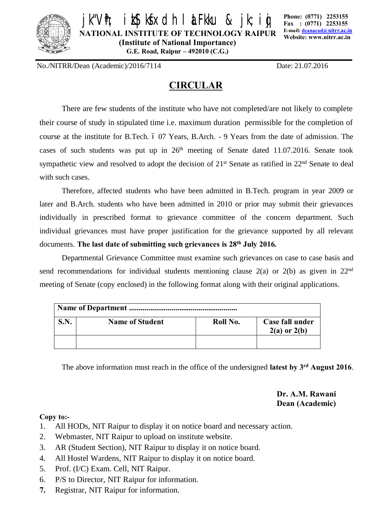

**/fr; izskskadh i aFku & jk;i**g

**NATIONAL INSTITUTE OF TECHNOLOGY RAIPUR (Institute of National Importance)**

**G.E. Road, Raipur – 492010 (C.G.)**

**Phone: (0771) 2253155 Fax : (0771) 2253155 E-mail: deanacad@nitrr.ac.in Website: www.nitrr.ac.in**

No./NITRR/Dean (Academic)/2016/7114 Date: 21.07.2016

## **CIRCULAR**

There are few students of the institute who have not completed/are not likely to complete their course of study in stipulated time i.e. maximum duration permissible for the completion of course at the institute for B.Tech. 6 07 Years, B.Arch. - 9 Years from the date of admission. The cases of such students was put up in  $26<sup>th</sup>$  meeting of Senate dated 11.07.2016. Senate took sympathetic view and resolved to adopt the decision of  $21<sup>st</sup>$  Senate as ratified in  $22<sup>nd</sup>$  Senate to deal with such cases.

Therefore, affected students who have been admitted in B.Tech. program in year 2009 or later and B.Arch. students who have been admitted in 2010 or prior may submit their grievances individually in prescribed format to grievance committee of the concern department. Such individual grievances must have proper justification for the grievance supported by all relevant documents. **The last date of submitting such grievances is 28th July 2016***.*

Departmental Grievance Committee must examine such grievances on case to case basis and send recommendations for individual students mentioning clause  $2(a)$  or  $2(b)$  as given in  $22<sup>nd</sup>$ meeting of Senate (copy enclosed) in the following format along with their original applications.

| S.N. | <b>Name of Student</b> | Roll No. | Case fall under<br>$2(a)$ or $2(b)$ |
|------|------------------------|----------|-------------------------------------|
|      |                        |          |                                     |

The above information must reach in the office of the undersigned **latest by 3rd August 2016**.

**Dr. A.M. Rawani Dean (Academic)**

## **Copy to:-**

- 1. All HODs, NIT Raipur to display it on notice board and necessary action.
- 2. Webmaster, NIT Raipur to upload on institute website.
- 3. AR (Student Section), NIT Raipur to display it on notice board.
- 4. All Hostel Wardens, NIT Raipur to display it on notice board.
- 5. Prof. (I/C) Exam. Cell, NIT Raipur.
- 6. P/S to Director, NIT Raipur for information.
- **7.** Registrar, NIT Raipur for information.